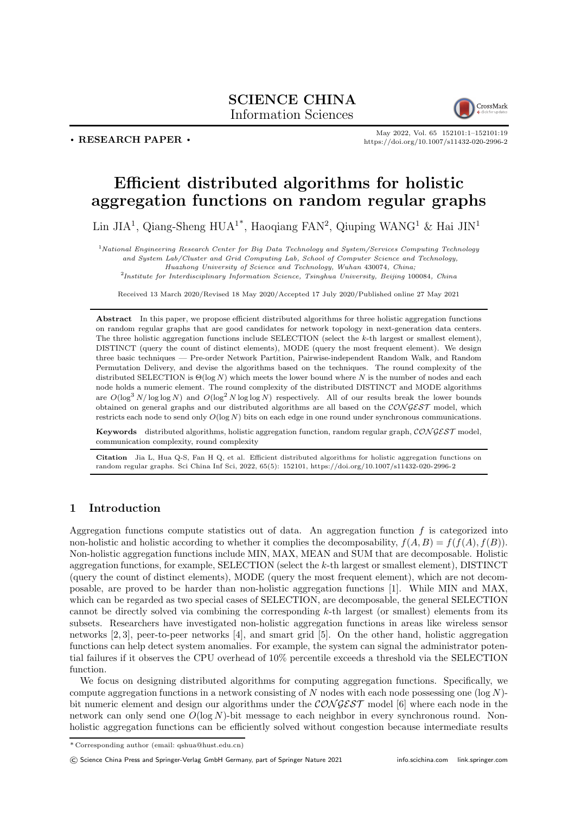## SCIENCE CHINA Information Sciences



. RESEARCH PAPER .

May 2022, Vol. 65 152101:1–152101[:19](#page-18-0) <https://doi.org/10.1007/s11432-020-2996-2>

# Efficient distributed algorithms for holistic aggregation functions on random regular graphs

Lin JIA<sup>1</sup>, Qiang-Sheng HUA<sup>1\*</sup>, Haoqiang FAN<sup>2</sup>, Qiuping WANG<sup>1</sup> & Hai JIN<sup>1</sup>

<sup>1</sup>National Engineering Research Center for Big Data Technology and System/Services Computing Technology and System Lab/Cluster and Grid Computing Lab, School of Computer Science and Technology, Huazhong University of Science and Technology, Wuhan 430074, China;

<sup>2</sup>Institute for Interdisciplinary Information Science, Tsinghua University, Beijing 100084, China

Received 13 March 2020/Revised 18 May 2020/Accepted 17 July 2020/Published online 27 May 2021

Abstract In this paper, we propose efficient distributed algorithms for three holistic aggregation functions on random regular graphs that are good candidates for network topology in next-generation data centers. The three holistic aggregation functions include SELECTION (select the k-th largest or smallest element), DISTINCT (query the count of distinct elements), MODE (query the most frequent element). We design three basic techniques — Pre-order Network Partition, Pairwise-independent Random Walk, and Random Permutation Delivery, and devise the algorithms based on the techniques. The round complexity of the distributed SELECTION is  $\Theta(\log N)$  which meets the lower bound where N is the number of nodes and each node holds a numeric element. The round complexity of the distributed DISTINCT and MODE algorithms are  $O(\log^3 N/\log \log N)$  and  $O(\log^2 N \log \log N)$  respectively. All of our results break the lower bounds obtained on general graphs and our distributed algorithms are all based on the  $\mathcal{CONGEST}$  model, which restricts each node to send only  $O(\log N)$  bits on each edge in one round under synchronous communications.

Keywords distributed algorithms, holistic aggregation function, random regular graph, CONGEST model, communication complexity, round complexity

Citation Jia L, Hua Q-S, Fan H Q, et al. Efficient distributed algorithms for holistic aggregation functions on random regular graphs. Sci China Inf Sci, 2022, 65(5): 152101,<https://doi.org/10.1007/s11432-020-2996-2>

## 1 Introduction

Aggregation functions compute statistics out of data. An aggregation function  $f$  is categorized into non-holistic and holistic according to whether it complies the decomposability,  $f(A, B) = f(f(A), f(B))$ . Non-holistic aggregation functions include MIN, MAX, MEAN and SUM that are decomposable. Holistic aggregation functions, for example, SELECTION (select the k-th largest or smallest element), DISTINCT (query the count of distinct elements), MODE (query the most frequent element), which are not decomposable, are proved to be harder than non-holistic aggregation functions [\[1\]](#page-16-0). While MIN and MAX, which can be regarded as two special cases of SELECTION, are decomposable, the general SELECTION cannot be directly solved via combining the corresponding  $k$ -th largest (or smallest) elements from its subsets. Researchers have investigated non-holistic aggregation functions in areas like wireless sensor networks [\[2,](#page-16-1) [3\]](#page-16-2), peer-to-peer networks [\[4\]](#page-16-3), and smart grid [\[5\]](#page-16-4). On the other hand, holistic aggregation functions can help detect system anomalies. For example, the system can signal the administrator potential failures if it observes the CPU overhead of 10% percentile exceeds a threshold via the SELECTION function.

We focus on designing distributed algorithms for computing aggregation functions. Specifically, we compute aggregation functions in a network consisting of N nodes with each node possessing one  $(\log N)$ bit numeric element and design our algorithms under the  $\mathcal{CONGEST}$  model [\[6\]](#page-16-5) where each node in the network can only send one  $O(\log N)$ -bit message to each neighbor in every synchronous round. Nonholistic aggregation functions can be efficiently solved without congestion because intermediate results

© Science China Press and Springer-Verlag GmbH Germany, part of Springer Nature 2021<info.scichina.com><link.springer.com>

<sup>\*</sup> Corresponding author (email: qshua@hust.edu.cn)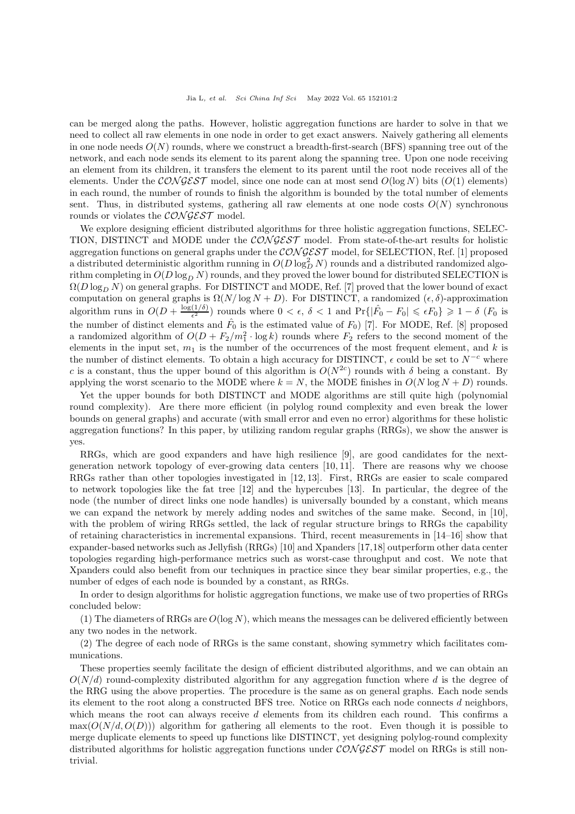can be merged along the paths. However, holistic aggregation functions are harder to solve in that we need to collect all raw elements in one node in order to get exact answers. Naively gathering all elements in one node needs  $O(N)$  rounds, where we construct a breadth-first-search (BFS) spanning tree out of the network, and each node sends its element to its parent along the spanning tree. Upon one node receiving an element from its children, it transfers the element to its parent until the root node receives all of the elements. Under the  $\mathcal{CONGEST}$  model, since one node can at most send  $O(\log N)$  bits  $(O(1)$  elements) in each round, the number of rounds to finish the algorithm is bounded by the total number of elements sent. Thus, in distributed systems, gathering all raw elements at one node costs  $O(N)$  synchronous rounds or violates the CONGEST model.

We explore designing efficient distributed algorithms for three holistic aggregation functions, SELEC-TION, DISTINCT and MODE under the CONGEST model. From state-of-the-art results for holistic aggregation functions on general graphs under the  $\mathcal{CONGEST}$  model, for SELECTION, Ref. [\[1\]](#page-16-0) proposed a distributed deterministic algorithm running in  $O(D \log_D^2 N)$  rounds and a distributed randomized algorithm completing in  $O(D \log_D N)$  rounds, and they proved the lower bound for distributed SELECTION is  $\Omega(D \log_D N)$  on general graphs. For DISTINCT and MODE, Ref. [\[7\]](#page-16-6) proved that the lower bound of exact computation on general graphs is  $\Omega(N/\log N + D)$ . For DISTINCT, a randomized  $(\epsilon, \delta)$ -approximation algorithm runs in  $O(D + \frac{\log(1/\delta)}{\epsilon^2})$  $\frac{(1/\delta)}{\epsilon^2}$ ) rounds where  $0 < \epsilon$ ,  $\delta < 1$  and  $\Pr\{|\hat{F}_0 - F_0| \leq \epsilon F_0\} \geq 1 - \delta$  ( $F_0$  is the number of distinct elements and  $\hat{F}_0$  is the estimated value of  $F_0$ ) [\[7\]](#page-16-6). For MODE, Ref. [\[8\]](#page-16-7) proposed a randomized algorithm of  $O(D + F_2/m_1^2 \cdot \log k)$  rounds where  $F_2$  refers to the second moment of the elements in the input set,  $m_1$  is the number of the occurrences of the most frequent element, and k is the number of distinct elements. To obtain a high accuracy for DISTINCT,  $\epsilon$  could be set to  $N^{-c}$  where c is a constant, thus the upper bound of this algorithm is  $O(N^{2c})$  rounds with  $\delta$  being a constant. By applying the worst scenario to the MODE where  $k = N$ , the MODE finishes in  $O(N \log N + D)$  rounds.

Yet the upper bounds for both DISTINCT and MODE algorithms are still quite high (polynomial round complexity). Are there more efficient (in polylog round complexity and even break the lower bounds on general graphs) and accurate (with small error and even no error) algorithms for these holistic aggregation functions? In this paper, by utilizing random regular graphs (RRGs), we show the answer is yes.

RRGs, which are good expanders and have high resilience [\[9\]](#page-16-8), are good candidates for the nextgeneration network topology of ever-growing data centers [\[10,](#page-16-9) [11\]](#page-16-10). There are reasons why we choose RRGs rather than other topologies investigated in [\[12,](#page-16-11) [13\]](#page-16-12). First, RRGs are easier to scale compared to network topologies like the fat tree [\[12\]](#page-16-11) and the hypercubes [\[13\]](#page-16-12). In particular, the degree of the node (the number of direct links one node handles) is universally bounded by a constant, which means we can expand the network by merely adding nodes and switches of the same make. Second, in [\[10\]](#page-16-9), with the problem of wiring RRGs settled, the lack of regular structure brings to RRGs the capability of retaining characteristics in incremental expansions. Third, recent measurements in [\[14](#page-16-13)[–16\]](#page-16-14) show that expander-based networks such as Jellyfish (RRGs) [\[10\]](#page-16-9) and Xpanders [\[17,](#page-16-15)[18\]](#page-16-16) outperform other data center topologies regarding high-performance metrics such as worst-case throughput and cost. We note that Xpanders could also benefit from our techniques in practice since they bear similar properties, e.g., the number of edges of each node is bounded by a constant, as RRGs.

In order to design algorithms for holistic aggregation functions, we make use of two properties of RRGs concluded below:

(1) The diameters of RRGs are  $O(\log N)$ , which means the messages can be delivered efficiently between any two nodes in the network.

(2) The degree of each node of RRGs is the same constant, showing symmetry which facilitates communications.

These properties seemly facilitate the design of efficient distributed algorithms, and we can obtain an  $O(N/d)$  round-complexity distributed algorithm for any aggregation function where d is the degree of the RRG using the above properties. The procedure is the same as on general graphs. Each node sends its element to the root along a constructed BFS tree. Notice on RRGs each node connects d neighbors, which means the root can always receive d elements from its children each round. This confirms a  $\max(O(N/d, O(D)))$  algorithm for gathering all elements to the root. Even though it is possible to merge duplicate elements to speed up functions like DISTINCT, yet designing polylog-round complexity distributed algorithms for holistic aggregation functions under CONGEST model on RRGs is still nontrivial.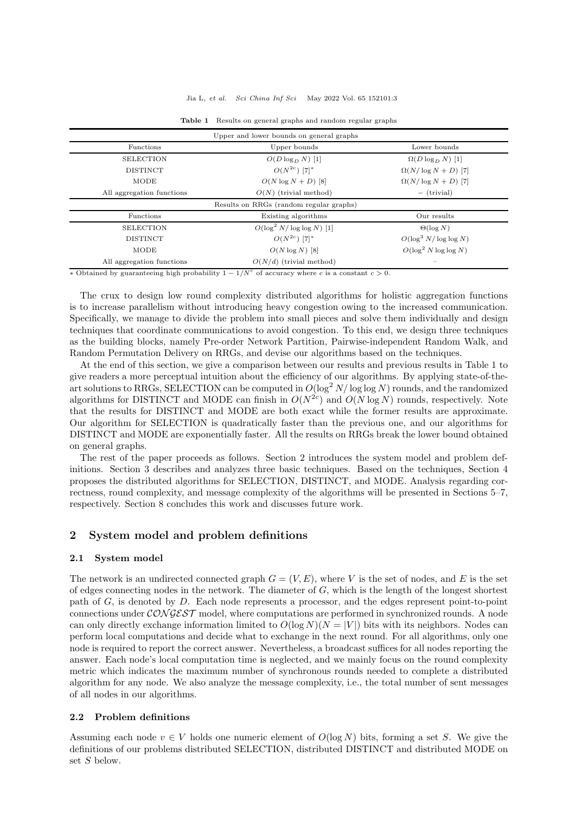#### Jia L, et al. Sci China Inf Sci May 2022 Vol. 65 152101:3

<span id="page-2-0"></span>

| Upper and lower bounds on general graphs |                                         |                            |
|------------------------------------------|-----------------------------------------|----------------------------|
| Functions                                | Upper bounds                            | Lower bounds               |
| <b>SELECTION</b>                         | $O(D \log_D N)$ [1]                     | $\Omega(D \log_D N)$ [1]   |
| <b>DISTINCT</b>                          | $O(N^{2c})$ [7] <sup>*</sup>            | $\Omega(N/\log N + D)$ [7] |
| <b>MODE</b>                              | $O(N \log N + D)$ [8]                   | $\Omega(N/\log N + D)$ [7] |
| All aggregation functions                | $O(N)$ (trivial method)                 | $-$ (trivial)              |
|                                          | Results on RRGs (random regular graphs) |                            |
| Functions                                | Existing algorithms                     | Our results                |
| <b>SELECTION</b>                         | $O(\log^2 N/\log \log N)$ [1]           | $\Theta(\log N)$           |
| <b>DISTINCT</b>                          | $O(N^{2c})$ [7] <sup>*</sup>            | $O(\log^3 N/\log \log N)$  |
| MODE                                     | $O(N \log N)$ [8]                       | $O(\log^2 N \log \log N)$  |
| All aggregation functions                | $O(N/d)$ (trivial method)               |                            |

#### Table 1 Results on general graphs and random regular graphs

∗ Obtained by guaranteeing high probability  $1 - 1/N<sup>c</sup>$  of accuracy where c is a constant  $c > 0$ .

The crux to design low round complexity distributed algorithms for holistic aggregation functions is to increase parallelism without introducing heavy congestion owing to the increased communication. Specifically, we manage to divide the problem into small pieces and solve them individually and design techniques that coordinate communications to avoid congestion. To this end, we design three techniques as the building blocks, namely Pre-order Network Partition, Pairwise-independent Random Walk, and Random Permutation Delivery on RRGs, and devise our algorithms based on the techniques.

At the end of this section, we give a comparison between our results and previous results in Table [1](#page-2-0) to give readers a more perceptual intuition about the efficiency of our algorithms. By applying state-of-theart solutions to RRGs, SELECTION can be computed in  $O(\log^2 N/\log \log N)$  rounds, and the randomized algorithms for DISTINCT and MODE can finish in  $O(N^{2c})$  and  $O(N \log N)$  rounds, respectively. Note that the results for DISTINCT and MODE are both exact while the former results are approximate. Our algorithm for SELECTION is quadratically faster than the previous one, and our algorithms for DISTINCT and MODE are exponentially faster. All the results on RRGs break the lower bound obtained on general graphs.

The rest of the paper proceeds as follows. Section [2](#page-2-1) introduces the system model and problem definitions. Section [3](#page-3-0) describes and analyzes three basic techniques. Based on the techniques, Section [4](#page-6-0) proposes the distributed algorithms for SELECTION, DISTINCT, and MODE. Analysis regarding correctness, round complexity, and message complexity of the algorithms will be presented in Sections [5–](#page-11-0)[7,](#page-13-0) respectively. Section [8](#page-16-17) concludes this work and discusses future work.

## <span id="page-2-1"></span>2 System model and problem definitions

### 2.1 System model

The network is an undirected connected graph  $G = (V, E)$ , where V is the set of nodes, and E is the set of edges connecting nodes in the network. The diameter of  $G$ , which is the length of the longest shortest path of G, is denoted by D. Each node represents a processor, and the edges represent point-to-point connections under  $\mathcal{CONGEST}$  model, where computations are performed in synchronized rounds. A node can only directly exchange information limited to  $O(\log N)(N = |V|)$  bits with its neighbors. Nodes can perform local computations and decide what to exchange in the next round. For all algorithms, only one node is required to report the correct answer. Nevertheless, a broadcast suffices for all nodes reporting the answer. Each node's local computation time is neglected, and we mainly focus on the round complexity metric which indicates the maximum number of synchronous rounds needed to complete a distributed algorithm for any node. We also analyze the message complexity, i.e., the total number of sent messages of all nodes in our algorithms.

## 2.2 Problem definitions

Assuming each node  $v \in V$  holds one numeric element of  $O(\log N)$  bits, forming a set S. We give the definitions of our problems distributed SELECTION, distributed DISTINCT and distributed MODE on set S below.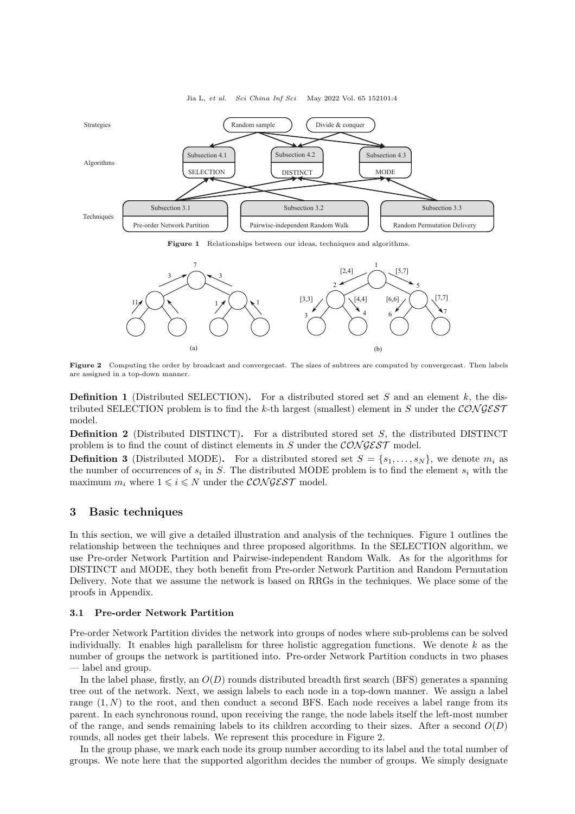<span id="page-3-1"></span>

Jia L, et al. Sci China Inf Sci May 2022 Vol. 65 152101:4

Figure 1 Relationships between our ideas, techniques and algorithms.

<span id="page-3-2"></span>

Figure 2 Computing the order by broadcast and convergecast. The sizes of subtrees are computed by convergecast. Then labels are assigned in a top-down manner.

**Definition 1** (Distributed SELECTION). For a distributed stored set  $S$  and an element  $k$ , the distributed SELECTION problem is to find the k-th largest (smallest) element in S under the  $\mathcal{CONGEST}$ model.

Definition 2 (Distributed DISTINCT). For a distributed stored set S, the distributed DISTINCT problem is to find the count of distinct elements in S under the CONGEST model.

**Definition 3** (Distributed MODE). For a distributed stored set  $S = \{s_1, \ldots, s_N\}$ , we denote  $m_i$  as the number of occurrences of  $s_i$  in S. The distributed MODE problem is to find the element  $s_i$  with the maximum  $m_i$  where  $1 \leq i \leq N$  under the  $CONGEST$  model.

## <span id="page-3-0"></span>3 Basic techniques

In this section, we will give a detailed illustration and analysis of the techniques. Figure [1](#page-3-1) outlines the relationship between the techniques and three proposed algorithms. In the SELECTION algorithm, we use Pre-order Network Partition and Pairwise-independent Random Walk. As for the algorithms for DISTINCT and MODE, they both benefit from Pre-order Network Partition and Random Permutation Delivery. Note that we assume the network is based on RRGs in the techniques. We place some of the proofs in Appendix.

## 3.1 Pre-order Network Partition

Pre-order Network Partition divides the network into groups of nodes where sub-problems can be solved individually. It enables high parallelism for three holistic aggregation functions. We denote  $k$  as the number of groups the network is partitioned into. Pre-order Network Partition conducts in two phases — label and group.

In the label phase, firstly, an  $O(D)$  rounds distributed breadth first search (BFS) generates a spanning tree out of the network. Next, we assign labels to each node in a top-down manner. We assign a label range  $(1, N)$  to the root, and then conduct a second BFS. Each node receives a label range from its parent. In each synchronous round, upon receiving the range, the node labels itself the left-most number of the range, and sends remaining labels to its children according to their sizes. After a second  $O(D)$ rounds, all nodes get their labels. We represent this procedure in Figure [2.](#page-3-2)

In the group phase, we mark each node its group number according to its label and the total number of groups. We note here that the supported algorithm decides the number of groups. We simply designate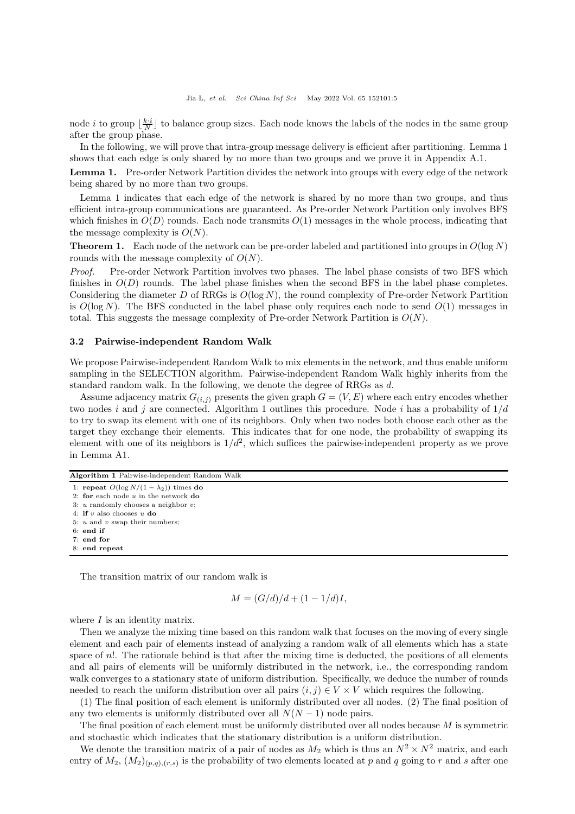node *i* to group  $\lfloor \frac{k \cdot i}{N} \rfloor$  to balance group sizes. Each node knows the labels of the nodes in the same group after the group phase.

In the following, we will prove that intra-group message delivery is efficient after partitioning. Lemma [1](#page-4-0) shows that each edge is only shared by no more than two groups and we prove it in [Appendix A.1.](#page-17-0)

<span id="page-4-0"></span>Lemma 1. Pre-order Network Partition divides the network into groups with every edge of the network being shared by no more than two groups.

Lemma [1](#page-4-0) indicates that each edge of the network is shared by no more than two groups, and thus efficient intra-group communications are guaranteed. As Pre-order Network Partition only involves BFS which finishes in  $O(D)$  rounds. Each node transmits  $O(1)$  messages in the whole process, indicating that the message complexity is  $O(N)$ .

**Theorem 1.** Each node of the network can be pre-order labeled and partitioned into groups in  $O(\log N)$ rounds with the message complexity of  $O(N)$ .

Proof. Pre-order Network Partition involves two phases. The label phase consists of two BFS which finishes in  $O(D)$  rounds. The label phase finishes when the second BFS in the label phase completes. Considering the diameter D of RRGs is  $O(\log N)$ , the round complexity of Pre-order Network Partition is  $O(\log N)$ . The BFS conducted in the label phase only requires each node to send  $O(1)$  messages in total. This suggests the message complexity of Pre-order Network Partition is  $O(N)$ .

## 3.2 Pairwise-independent Random Walk

We propose Pairwise-independent Random Walk to mix elements in the network, and thus enable uniform sampling in the SELECTION algorithm. Pairwise-independent Random Walk highly inherits from the standard random walk. In the following, we denote the degree of RRGs as d.

Assume adjacency matrix  $G_{(i,j)}$  presents the given graph  $G = (V, E)$  where each entry encodes whether two nodes i and j are connected. Algorithm [1](#page-4-1) outlines this procedure. Node i has a probability of  $1/d$ to try to swap its element with one of its neighbors. Only when two nodes both choose each other as the target they exchange their elements. This indicates that for one node, the probability of swapping its element with one of its neighbors is  $1/d^2$ , which suffices the pairwise-independent property as we prove in Lemma A1.

<span id="page-4-1"></span>

| Algorithm 1 Pairwise-independent Random Walk |  |
|----------------------------------------------|--|
|----------------------------------------------|--|

<sup>1:</sup> repeat  $O(\log N/(1 - \lambda_2))$  times do 2: for each node  $u$  in the network  $\bf{do}$ 

8: end repeat

The transition matrix of our random walk is

$$
M = (G/d)/d + (1 - 1/d)I,
$$

where  $I$  is an identity matrix.

Then we analyze the mixing time based on this random walk that focuses on the moving of every single element and each pair of elements instead of analyzing a random walk of all elements which has a state space of n!. The rationale behind is that after the mixing time is deducted, the positions of all elements and all pairs of elements will be uniformly distributed in the network, i.e., the corresponding random walk converges to a stationary state of uniform distribution. Specifically, we deduce the number of rounds needed to reach the uniform distribution over all pairs  $(i, j) \in V \times V$  which requires the following.

(1) The final position of each element is uniformly distributed over all nodes. (2) The final position of any two elements is uniformly distributed over all  $N(N-1)$  node pairs.

The final position of each element must be uniformly distributed over all nodes because  $M$  is symmetric and stochastic which indicates that the stationary distribution is a uniform distribution.

We denote the transition matrix of a pair of nodes as  $M_2$  which is thus an  $N^2 \times N^2$  matrix, and each entry of  $M_2$ ,  $(M_2)_{(p,q),(r,s)}$  is the probability of two elements located at p and q going to r and s after one

<sup>3:</sup>  $u$  randomly chooses a neighbor  $v$ :

<sup>4:</sup> if v also chooses  $u$  do

<sup>5:</sup>  $u$  and  $v$  swap their numbers;

<sup>6:</sup> end if 7: end for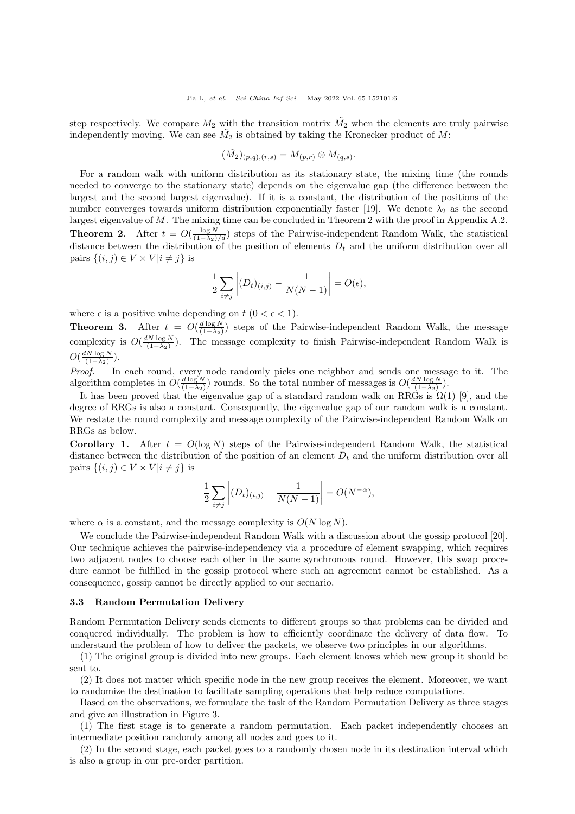step respectively. We compare  $M_2$  with the transition matrix  $\tilde{M_2}$  when the elements are truly pairwise independently moving. We can see  $\tilde{M}_2$  is obtained by taking the Kronecker product of M:

$$
(\tilde{M_2})_{(p,q),(r,s)} = M_{(p,r)} \otimes M_{(q,s)}.
$$

<span id="page-5-0"></span>For a random walk with uniform distribution as its stationary state, the mixing time (the rounds needed to converge to the stationary state) depends on the eigenvalue gap (the difference between the largest and the second largest eigenvalue). If it is a constant, the distribution of the positions of the number converges towards uniform distribution exponentially faster [\[19\]](#page-16-18). We denote  $\lambda_2$  as the second largest eigenvalue of M. The mixing time can be concluded in Theorem [2](#page-5-0) with the proof in Appendix A.2. **Theorem 2.** After  $t = O(\frac{\log N}{(1-\lambda_2)/d})$  steps of the Pairwise-independent Random Walk, the statistical distance between the distribution of the position of elements  $D_t$  and the uniform distribution over all pairs  $\{(i, j) \in V \times V | i \neq j\}$  is

$$
\frac{1}{2}\sum_{i\neq j}\left|(D_t)_{(i,j)}-\frac{1}{N(N-1)}\right|=O(\epsilon),
$$

where  $\epsilon$  is a positive value depending on  $t$  ( $0 < \epsilon < 1$ ).

**Theorem 3.** After  $t = O(\frac{d \log N}{(1-\lambda_2)})$  steps of the Pairwise-independent Random Walk, the message complexity is  $O(\frac{dN \log N}{(1-\lambda_2)})$ . The message complexity to finish Pairwise-independent Random Walk is  $O(\frac{dN\log N}{(1-\lambda_2)})$ .

Proof. In each round, every node randomly picks one neighbor and sends one message to it. The algorithm completes in  $O(\frac{d \log N}{(1-\lambda_2)})$  rounds. So the total number of messages is  $O(\frac{d N \log N}{(1-\lambda_2)})$ .

It has been proved that the eigenvalue gap of a standard random walk on RRGs is  $\Omega(1)$  [\[9\]](#page-16-8), and the degree of RRGs is also a constant. Consequently, the eigenvalue gap of our random walk is a constant. We restate the round complexity and message complexity of the Pairwise-independent Random Walk on RRGs as below.

Corollary 1. After  $t = O(\log N)$  steps of the Pairwise-independent Random Walk, the statistical distance between the distribution of the position of an element  $D_t$  and the uniform distribution over all pairs  $\{(i, j) \in V \times V | i \neq j\}$  is

$$
\frac{1}{2} \sum_{i \neq j} \left| (D_t)_{(i,j)} - \frac{1}{N(N-1)} \right| = O(N^{-\alpha}),
$$

where  $\alpha$  is a constant, and the message complexity is  $O(N \log N)$ .

We conclude the Pairwise-independent Random Walk with a discussion about the gossip protocol [\[20\]](#page-16-19). Our technique achieves the pairwise-independency via a procedure of element swapping, which requires two adjacent nodes to choose each other in the same synchronous round. However, this swap procedure cannot be fulfilled in the gossip protocol where such an agreement cannot be established. As a consequence, gossip cannot be directly applied to our scenario.

### 3.3 Random Permutation Delivery

Random Permutation Delivery sends elements to different groups so that problems can be divided and conquered individually. The problem is how to efficiently coordinate the delivery of data flow. To understand the problem of how to deliver the packets, we observe two principles in our algorithms.

(1) The original group is divided into new groups. Each element knows which new group it should be sent to.

(2) It does not matter which specific node in the new group receives the element. Moreover, we want to randomize the destination to facilitate sampling operations that help reduce computations.

Based on the observations, we formulate the task of the Random Permutation Delivery as three stages and give an illustration in Figure [3.](#page-6-1)

(1) The first stage is to generate a random permutation. Each packet independently chooses an intermediate position randomly among all nodes and goes to it.

(2) In the second stage, each packet goes to a randomly chosen node in its destination interval which is also a group in our pre-order partition.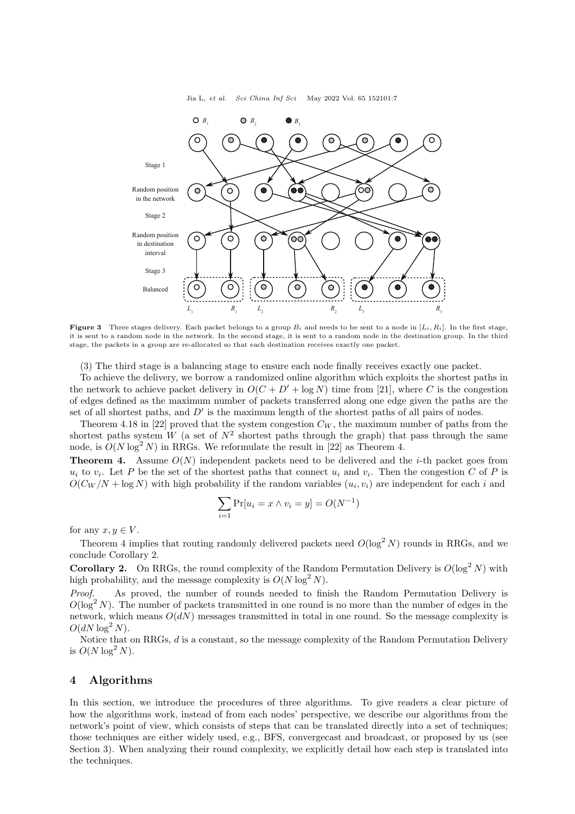Jia L, et al. Sci China Inf Sci May 2022 Vol. 65 152101:7

<span id="page-6-1"></span>

**Figure 3** Three stages delivery. Each packet belongs to a group  $B_i$  and needs to be sent to a node in  $[L_i, R_i]$ . In the first stage, it is sent to a random node in the network. In the second stage, it is sent to a random node in the destination group. In the third stage, the packets in a group are re-allocated so that each destination receives exactly one packet.

(3) The third stage is a balancing stage to ensure each node finally receives exactly one packet.

To achieve the delivery, we borrow a randomized online algorithm which exploits the shortest paths in the network to achieve packet delivery in  $O(C + D' + \log N)$  time from [\[21\]](#page-16-20), where C is the congestion of edges defined as the maximum number of packets transferred along one edge given the paths are the set of all shortest paths, and  $D'$  is the maximum length of the shortest paths of all pairs of nodes.

Theorem 4.18 in [\[22\]](#page-17-1) proved that the system congestion  $C_W$ , the maximum number of paths from the shortest paths system W (a set of  $N^2$  shortest paths through the graph) that pass through the same node, is  $O(N \log^2 N)$  in RRGs. We reformulate the result in [\[22\]](#page-17-1) as Theorem [4.](#page-6-2)

<span id="page-6-2"></span>**Theorem 4.** Assume  $O(N)$  independent packets need to be delivered and the *i*-th packet goes from  $u_i$  to  $v_i$ . Let P be the set of the shortest paths that connect  $u_i$  and  $v_i$ . Then the congestion C of P is  $O(C_W/N + \log N)$  with high probability if the random variables  $(u_i, v_i)$  are independent for each i and

$$
\sum_{i=1} \Pr[u_i = x \land v_i = y] = O(N^{-1})
$$

for any  $x, y \in V$ .

Theorem [4](#page-6-2) implies that routing randomly delivered packets need  $O(\log^2 N)$  rounds in RRGs, and we conclude Corollary [2.](#page-6-3)

<span id="page-6-3"></span>**Corollary 2.** On RRGs, the round complexity of the Random Permutation Delivery is  $O(\log^2 N)$  with high probability, and the message complexity is  $O(N \log^2 N)$ .

Proof. As proved, the number of rounds needed to finish the Random Permutation Delivery is  $O(\log^2 N)$ . The number of packets transmitted in one round is no more than the number of edges in the network, which means  $O(dN)$  messages transmitted in total in one round. So the message complexity is  $O(dN \log^2 N)$ .

Notice that on RRGs, d is a constant, so the message complexity of the Random Permutation Delivery is  $O(N \log^2 N)$ .

## <span id="page-6-0"></span>4 Algorithms

In this section, we introduce the procedures of three algorithms. To give readers a clear picture of how the algorithms work, instead of from each nodes' perspective, we describe our algorithms from the network's point of view, which consists of steps that can be translated directly into a set of techniques; those techniques are either widely used, e.g., BFS, convergecast and broadcast, or proposed by us (see Section [3\)](#page-3-0). When analyzing their round complexity, we explicitly detail how each step is translated into the techniques.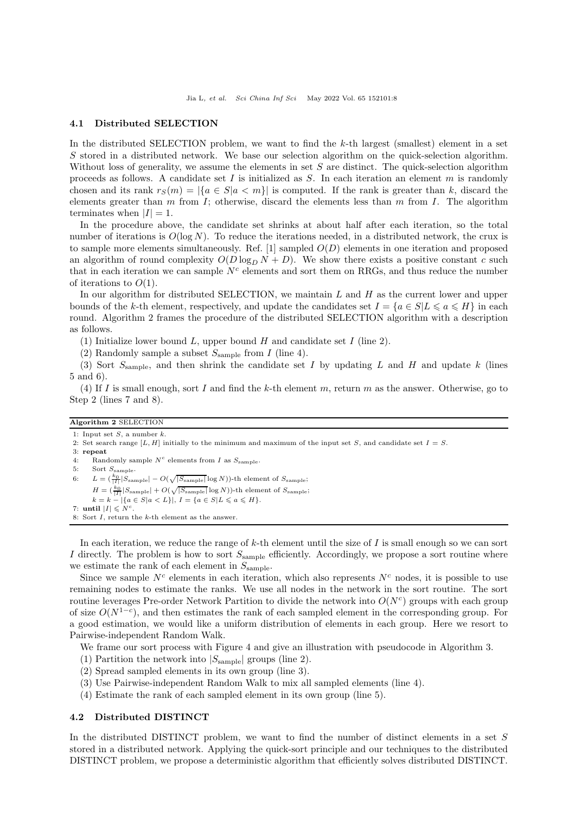### 4.1 Distributed SELECTION

In the distributed SELECTION problem, we want to find the  $k$ -th largest (smallest) element in a set S stored in a distributed network. We base our selection algorithm on the quick-selection algorithm. Without loss of generality, we assume the elements in set  $S$  are distinct. The quick-selection algorithm proceeds as follows. A candidate set I is initialized as  $S$ . In each iteration an element m is randomly chosen and its rank  $r_S(m) = |\{a \in S | a \lt m\}|$  is computed. If the rank is greater than k, discard the elements greater than  $m$  from  $I$ ; otherwise, discard the elements less than  $m$  from  $I$ . The algorithm terminates when  $|I| = 1$ .

In the procedure above, the candidate set shrinks at about half after each iteration, so the total number of iterations is  $O(\log N)$ . To reduce the iterations needed, in a distributed network, the crux is to sample more elements simultaneously. Ref.  $[1]$  sampled  $O(D)$  elements in one iteration and proposed an algorithm of round complexity  $O(D \log_D N + D)$ . We show there exists a positive constant c such that in each iteration we can sample  $N^c$  elements and sort them on RRGs, and thus reduce the number of iterations to  $O(1)$ .

In our algorithm for distributed SELECTION, we maintain  $L$  and  $H$  as the current lower and upper bounds of the k-th element, respectively, and update the candidates set  $I = \{a \in S | L \leq a \leq H\}$  in each round. Algorithm [2](#page-7-0) frames the procedure of the distributed SELECTION algorithm with a description as follows.

(1) Initialize lower bound L, upper bound H and candidate set I (line 2).

(2) Randomly sample a subset  $S_{\text{sample}}$  from I (line 4).

(3) Sort  $S_{\text{sample}}$ , and then shrink the candidate set I by updating L and H and update k (lines 5 and 6).

(4) If I is small enough, sort I and find the k-th element m, return m as the answer. Otherwise, go to Step 2 (lines 7 and 8).

### <span id="page-7-0"></span>Algorithm 2 SELECTION

1: Input set  $S$ , a number  $k$ .

- 2: Set search range [L, H] initially to the minimum and maximum of the input set S, and candidate set  $I = S$ .
- 3: repeat
- 4: Randomly sample  $N^c$  elements from I as  $S_{\text{sample}}$ .
- 5: Sort  $S_{\text{sample}}$ .

6:  $L = \left(\frac{k_0}{|I|} |S_{\text{sample}}| - O(\sqrt{|S_{\text{sample}}|} \log N)\right)$ -th element of  $S_{\text{sample}}$ ;

 $H = \left(\frac{k_0}{|I|} |S_{\text{sample}}| + O(\sqrt{|S_{\text{sample}}|} \log N)\right)$ -th element of  $S_{\text{sample}}$ ;

```
k = k - |\{a \in S | a < L\}|, I = \{a \in S | L \leqslant a \leqslant H\}.
```
- 7: until  $|I| \leqslant N^c$ .
- 8: Sort  $I$ , return the  $k$ -th element as the answer.

In each iteration, we reduce the range of  $k$ -th element until the size of I is small enough so we can sort I directly. The problem is how to sort  $S_{\text{sample}}$  efficiently. Accordingly, we propose a sort routine where we estimate the rank of each element in  $S_{\text{sample}}$ .

Since we sample  $N^c$  elements in each iteration, which also represents  $N^c$  nodes, it is possible to use remaining nodes to estimate the ranks. We use all nodes in the network in the sort routine. The sort routine leverages Pre-order Network Partition to divide the network into  $O(N<sup>c</sup>)$  groups with each group of size  $O(N^{1-c})$ , and then estimates the rank of each sampled element in the corresponding group. For a good estimation, we would like a uniform distribution of elements in each group. Here we resort to Pairwise-independent Random Walk.

We frame our sort process with Figure [4](#page-8-0) and give an illustration with pseudocode in Algorithm [3.](#page-8-1)

- (1) Partition the network into  $|S_{\text{sample}}|$  groups (line 2).
- (2) Spread sampled elements in its own group (line 3).
- (3) Use Pairwise-independent Random Walk to mix all sampled elements (line 4).
- (4) Estimate the rank of each sampled element in its own group (line 5).

## 4.2 Distributed DISTINCT

In the distributed DISTINCT problem, we want to find the number of distinct elements in a set S stored in a distributed network. Applying the quick-sort principle and our techniques to the distributed DISTINCT problem, we propose a deterministic algorithm that efficiently solves distributed DISTINCT.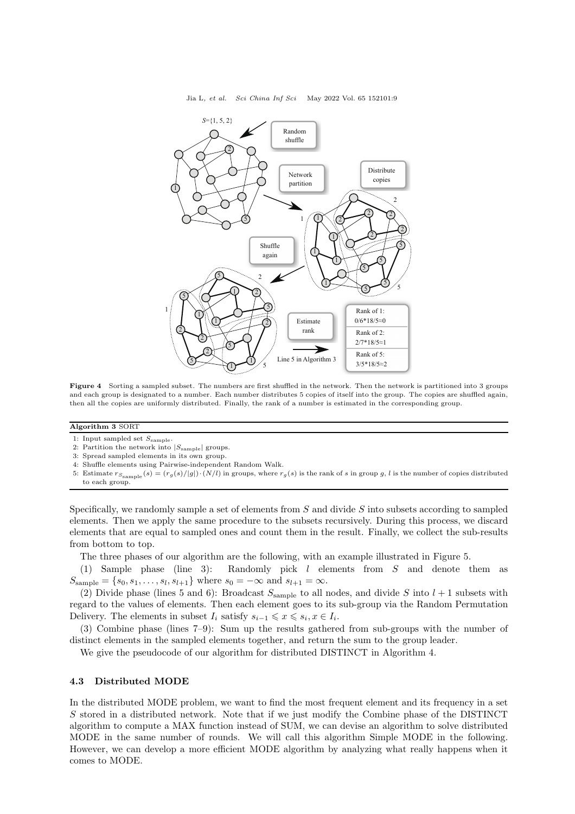

<span id="page-8-0"></span>

Figure 4 Sorting a sampled subset. The numbers are first shuffled in the network. Then the network is partitioned into 3 groups and each group is designated to a number. Each number distributes 5 copies of itself into the group. The copies are shuffled again, then all the copies are uniformly distributed. Finally, the rank of a number is estimated in the corresponding group.

### <span id="page-8-1"></span>Algorithm 3 SORT

1: Input sampled set  $S_{\text{sample}}$ .

- 2: Partition the network into  $|S_{\text{sample}}|$  groups.
- 3: Spread sampled elements in its own group.
- 4: Shuffle elements using Pairwise-independent Random Walk.
- 5: Estimate  $r_{S<sub>sample</sub>}(s) = (r_g(s)/|g|) \cdot (N/l)$  in groups, where  $r_g(s)$  is the rank of s in group g, l is the number of copies distributed to each group.

Specifically, we randomly sample a set of elements from  $S$  and divide  $S$  into subsets according to sampled elements. Then we apply the same procedure to the subsets recursively. During this process, we discard elements that are equal to sampled ones and count them in the result. Finally, we collect the sub-results from bottom to top.

The three phases of our algorithm are the following, with an example illustrated in Figure [5.](#page-9-0)

(1) Sample phase (line 3): Randomly pick l elements from S and denote them as  $S_{\text{sample}} = \{s_0, s_1, \dots, s_l, s_{l+1}\}\$  where  $s_0 = -\infty$  and  $s_{l+1} = \infty$ .

(2) Divide phase (lines 5 and 6): Broadcast  $S_{\text{sample}}$  to all nodes, and divide S into  $l + 1$  subsets with regard to the values of elements. Then each element goes to its sub-group via the Random Permutation Delivery. The elements in subset  $I_i$  satisfy  $s_{i-1} \leq x \leq s_i, x \in I_i$ .

(3) Combine phase (lines 7–9): Sum up the results gathered from sub-groups with the number of distinct elements in the sampled elements together, and return the sum to the group leader.

We give the pseudocode of our algorithm for distributed DISTINCT in Algorithm [4.](#page-9-1)

## 4.3 Distributed MODE

In the distributed MODE problem, we want to find the most frequent element and its frequency in a set S stored in a distributed network. Note that if we just modify the Combine phase of the DISTINCT algorithm to compute a MAX function instead of SUM, we can devise an algorithm to solve distributed MODE in the same number of rounds. We will call this algorithm Simple MODE in the following. However, we can develop a more efficient MODE algorithm by analyzing what really happens when it comes to MODE.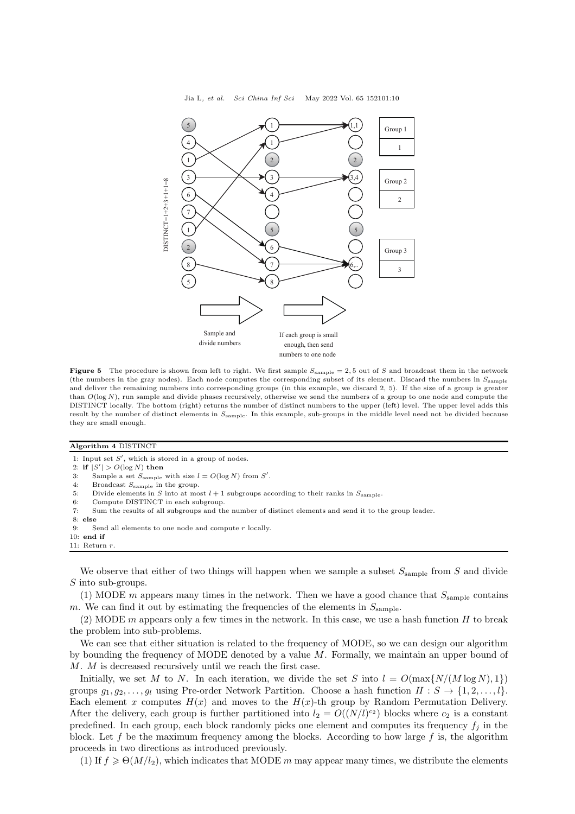Jia L, et al. Sci China Inf Sci May 2022 Vol. 65 152101:10

<span id="page-9-0"></span>

Figure 5 The procedure is shown from left to right. We first sample  $S_{\text{sample}} = 2,5$  out of S and broadcast them in the network (the numbers in the gray nodes). Each node computes the corresponding subset of its element. Discard the numbers in  $S_{\text{sample}}$ and deliver the remaining numbers into corresponding groups (in this example, we discard 2, 5). If the size of a group is greater than  $O(\log N)$ , run sample and divide phases recursively, otherwise we send the numbers of a group to one node and compute the DISTINCT locally. The bottom (right) returns the number of distinct numbers to the upper (left) level. The upper level adds this result by the number of distinct elements in  $S_{\text{sample}}$ . In this example, sub-groups in the middle level need not be divided because they are small enough.

<span id="page-9-1"></span>Algorithm 4 DISTINCT

1: Input set  $S'$ , which is stored in a group of nodes.

2: if  $|S'| > O(\log N)$  then

- 3: Sample a set  $S_{\text{sample}}$  with size  $l = O(\log N)$  from S'.
- 4: Broadcast  $S_{\text{sample}}$  in the group.
- 5: Divide elements in S into at most  $l + 1$  subgroups according to their ranks in  $S_{\text{sample}}$ .<br>6: Compute DISTINCT in each subgroup.
- Compute DISTINCT in each subgroup.
- 7: Sum the results of all subgroups and the number of distinct elements and send it to the group leader.
- 8: else
- 9: Send all elements to one node and compute  $r$  locally.
- 10: end if 11: Return  $r$

We observe that either of two things will happen when we sample a subset  $S_{\text{sample}}$  from S and divide S into sub-groups.

(1) MODE m appears many times in the network. Then we have a good chance that  $S_{\text{sample}}$  contains m. We can find it out by estimating the frequencies of the elements in  $S_{\text{sample}}$ .

(2) MODE m appears only a few times in the network. In this case, we use a hash function  $H$  to break the problem into sub-problems.

We can see that either situation is related to the frequency of MODE, so we can design our algorithm by bounding the frequency of MODE denoted by a value M. Formally, we maintain an upper bound of M. M is decreased recursively until we reach the first case.

Initially, we set M to N. In each iteration, we divide the set S into  $l = O(\max\{N/(M\log N), 1\})$ groups  $g_1, g_2, \ldots, g_l$  using Pre-order Network Partition. Choose a hash function  $H : S \to \{1, 2, \ldots, l\}$ . Each element x computes  $H(x)$  and moves to the  $H(x)$ -th group by Random Permutation Delivery. After the delivery, each group is further partitioned into  $l_2 = O((N/l)^{c_2})$  blocks where  $c_2$  is a constant predefined. In each group, each block randomly picks one element and computes its frequency  $f_i$  in the block. Let f be the maximum frequency among the blocks. According to how large f is, the algorithm proceeds in two directions as introduced previously.

(1) If  $f \geq \Theta(M/l_2)$ , which indicates that MODE m may appear many times, we distribute the elements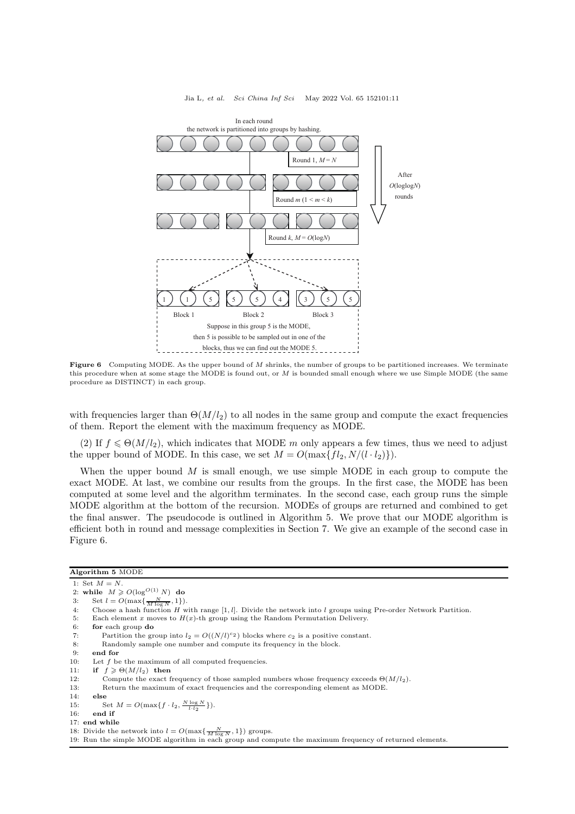<span id="page-10-1"></span>

#### Jia L, et al. Sci China Inf Sci May 2022 Vol. 65 152101:11

Figure 6 Computing MODE. As the upper bound of  $M$  shrinks, the number of groups to be partitioned increases. We terminate this procedure when at some stage the MODE is found out, or  $M$  is bounded small enough where we use Simple MODE (the same procedure as DISTINCT) in each group.

with frequencies larger than  $\Theta(M/l_2)$  to all nodes in the same group and compute the exact frequencies of them. Report the element with the maximum frequency as MODE.

(2) If  $f \leq \Theta(M/l_2)$ , which indicates that MODE m only appears a few times, thus we need to adjust the upper bound of MODE. In this case, we set  $M = O(\max\{fl_2, N/(l \cdot l_2)\})$ .

When the upper bound  $M$  is small enough, we use simple MODE in each group to compute the exact MODE. At last, we combine our results from the groups. In the first case, the MODE has been computed at some level and the algorithm terminates. In the second case, each group runs the simple MODE algorithm at the bottom of the recursion. MODEs of groups are returned and combined to get the final answer. The pseudocode is outlined in Algorithm [5.](#page-10-0) We prove that our MODE algorithm is efficient both in round and message complexities in Section [7.](#page-13-0) We give an example of the second case in Figure [6.](#page-10-1)

## <span id="page-10-0"></span>Algorithm 5 MODE

1: Set  $M = N$ .

- 2: while  $M \geqslant O(\log^{O(1)} N)$  do
- 3: Set  $l = O(\max\{\frac{N}{M \log n}\})$ <br>4: Choose a hash funct  $\frac{1}{N}, 1\})$ .
- Choose a hash function  $H$  with range [1, *l*]. Divide the network into  $l$  groups using Pre-order Network Partition.
- 5: Each element x moves to  $H(x)$ -th group using the Random Permutation Delivery.
- 6: for each group do
- 7: Partition the group into  $l_2 = O((N/l)^{c_2})$  blocks where  $c_2$  is a positive constant.
- 8: Randomly sample one number and compute its frequency in the block.
- 

- if  $f \geqslant \Theta(M/l_2)$  then
- 12: Compute the exact frequency of those sampled numbers whose frequency exceeds  $\Theta(M/l_2)$ .
- 13: Return the maximum of exact frequencies and the corresponding element as MODE.
- <span id="page-10-2"></span>14: else
- 15: Set  $M = O(\max\{f \cdot l_2, \frac{N \log N}{l \cdot l_2}\}).$
- 16: end if
- 17: end while
- 18: Divide the network into  $l = O(\max\{\frac{N}{M \log N}, 1\})$  groups.

<sup>9:</sup> **end for** 10: Let  $f$  b 10: Let f be the maximum of all computed frequencies.<br>11: **if**  $f \ge \Theta(M/l_2)$  **then** 

<sup>19:</sup> Run the simple MODE algorithm in each group and compute the maximum frequency of returned elements.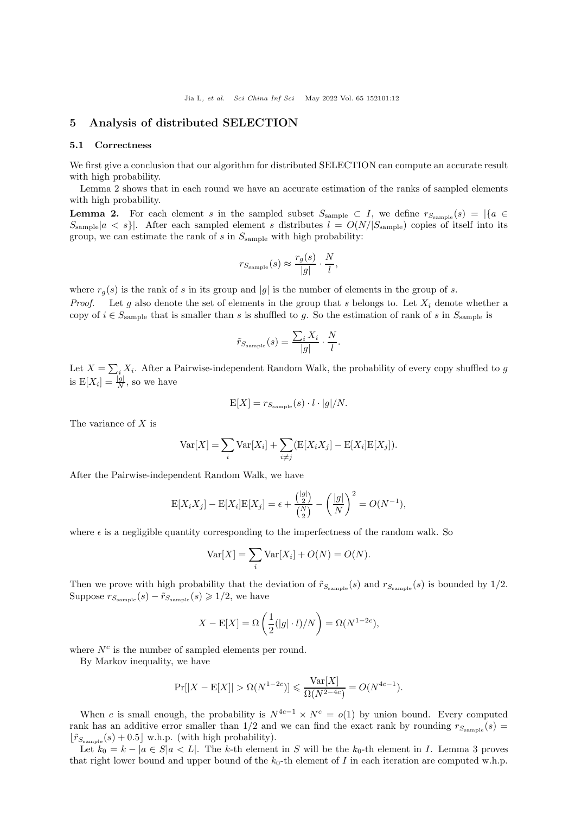## <span id="page-11-0"></span>5 Analysis of distributed SELECTION

#### 5.1 Correctness

We first give a conclusion that our algorithm for distributed SELECTION can compute an accurate result with high probability.

Lemma [2](#page-11-1) shows that in each round we have an accurate estimation of the ranks of sampled elements with high probability.

<span id="page-11-1"></span>**Lemma 2.** For each element s in the sampled subset  $S_{\text{sample}} \subset I$ , we define  $r_{S_{\text{sample}}}(s) = |\{a \in I\}|$  $S_{\text{sample}}|a \lt s|$ . After each sampled element s distributes  $l = O(N/|S_{\text{sample}}|)$  copies of itself into its group, we can estimate the rank of  $s$  in  $S_{\text{sample}}$  with high probability:

$$
r_{S_{\text{sample}}}(s) \approx \frac{r_g(s)}{|g|} \cdot \frac{N}{l},
$$

where  $r_g(s)$  is the rank of s in its group and |g| is the number of elements in the group of s. *Proof.* Let g also denote the set of elements in the group that s belongs to. Let  $X_i$  denote whether a copy of  $i \in S_{\text{sample}}$  that is smaller than s is shuffled to g. So the estimation of rank of s in  $S_{\text{sample}}$  is

$$
\tilde{r}_{S_{\text{sample}}}(s) = \frac{\sum_{i} X_i}{|g|} \cdot \frac{N}{l}.
$$

Let  $X = \sum_i X_i$ . After a Pairwise-independent Random Walk, the probability of every copy shuffled to g is  $E[X_i] = \frac{|g|}{N}$ , so we have

$$
E[X] = r_{S_{\text{sample}}}(s) \cdot l \cdot |g|/N.
$$

The variance of X is

$$
\text{Var}[X] = \sum_{i} \text{Var}[X_i] + \sum_{i \neq j} (\text{E}[X_i X_j] - \text{E}[X_i] \text{E}[X_j]).
$$

After the Pairwise-independent Random Walk, we have

$$
\mathcal{E}[X_i X_j] - \mathcal{E}[X_i] \mathcal{E}[X_j] = \epsilon + \frac{\binom{|g|}{2}}{\binom{N}{2}} - \left(\frac{|g|}{N}\right)^2 = O(N^{-1}),
$$

where  $\epsilon$  is a negligible quantity corresponding to the imperfectness of the random walk. So

$$
Var[X] = \sum_{i} Var[X_i] + O(N) = O(N).
$$

Then we prove with high probability that the deviation of  $\tilde{r}_{S_{\text{sample}}}(s)$  and  $r_{S_{\text{sample}}}(s)$  is bounded by 1/2. Suppose  $r_{S\text{\tiny sample}}(s)-\tilde{r}_{S\text{\tiny sample}}(s)\geqslant 1/2,$  we have

$$
X - \mathbb{E}[X] = \Omega\left(\frac{1}{2}(|g| \cdot l)/N\right) = \Omega(N^{1-2c}),
$$

where  $N^c$  is the number of sampled elements per round.

By Markov inequality, we have

$$
Pr[|X - E[X]| > \Omega(N^{1-2c})] \le \frac{Var[X]}{\Omega(N^{2-4c})} = O(N^{4c-1}).
$$

When c is small enough, the probability is  $N^{4c-1} \times N^{c} = o(1)$  by union bound. Every computed rank has an additive error smaller than  $1/2$  and we can find the exact rank by rounding  $r_{S<sub>sample</sub>}(s)$  $\lfloor \tilde{r}_{S_{\text{sample}}}(s) + 0.5 \rfloor$  w.h.p. (with high probability).

Let  $k_0 = k - |a \in S|$   $\le L$ . The k-th element in S will be the  $k_0$ -th element in I. Lemma [3](#page-12-0) proves that right lower bound and upper bound of the  $k_0$ -th element of I in each iteration are computed w.h.p.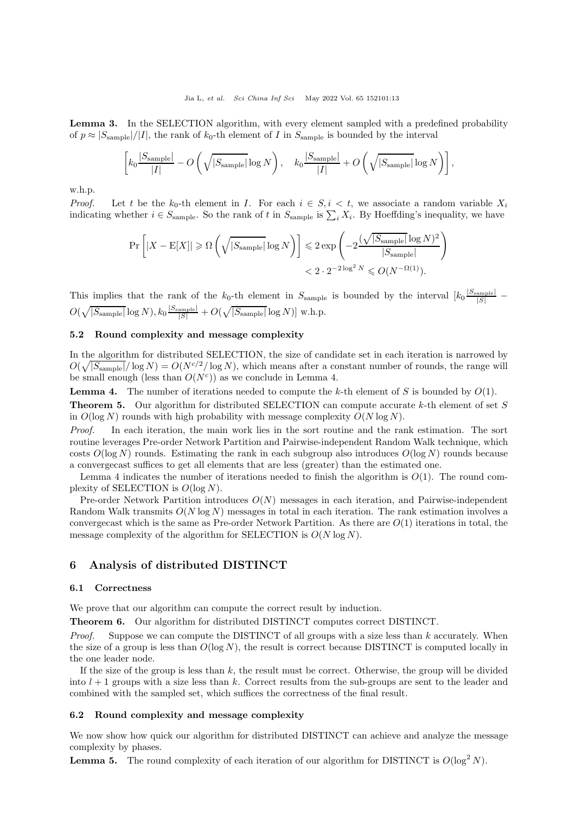<span id="page-12-0"></span>Lemma 3. In the SELECTION algorithm, with every element sampled with a predefined probability of  $p \approx |S_{\text{sample}}|/|I|$ , the rank of  $k_0$ -th element of I in  $S_{\text{sample}}$  is bounded by the interval

$$
\left[k_0 \frac{|S_{\text{sample}}|}{|I|} - O\left(\sqrt{|S_{\text{sample}}|} \log N\right), \quad k_0 \frac{|S_{\text{sample}}|}{|I|} + O\left(\sqrt{|S_{\text{sample}}|} \log N\right)\right],
$$

w.h.p.

*Proof.* Let t be the k<sub>0</sub>-th element in I. For each  $i \in S, i \lt t$ , we associate a random variable  $X_i$ indicating whether  $i \in S_{\text{sample}}$ . So the rank of t in  $S_{\text{sample}}$  is  $\sum_i X_i$ . By Hoeffding's inequality, we have

$$
\Pr\left[|X - \mathcal{E}[X]| \ge \Omega\left(\sqrt{|S_{\text{sample}}|} \log N\right)\right] \le 2 \exp\left(-2\frac{(\sqrt{|S_{\text{sample}}|} \log N)^2}{|S_{\text{sample}}|}\right) < 2 \cdot 2^{-2\log^2 N} \le O(N^{-\Omega(1)}).
$$

This implies that the rank of the  $k_0$ -th element in  $S_{\text{sample}}$  is bounded by the interval  $\left[k_0\frac{|S_{\text{sample}}|}{|S|}\right]$  $O(\sqrt{|S_{\rm sample}|}\log N), k_0\frac{|S_{\rm sample}|}{|S|} + O(\sqrt{|S_{\rm sample}|}\log N)] \text{ w.h.p.}$ 

## 5.2 Round complexity and message complexity

In the algorithm for distributed SELECTION, the size of candidate set in each iteration is narrowed by  $O(\sqrt{|S_{\text{sample}}|}/\log N) = O(N^{c/2}/\log N)$ , which means after a constant number of rounds, the range will be small enough (less than  $O(N<sup>c</sup>)$ ) as we conclude in Lemma [4.](#page-12-1)

<span id="page-12-1"></span>**Lemma 4.** The number of iterations needed to compute the k-th element of S is bounded by  $O(1)$ .

**Theorem 5.** Our algorithm for distributed SELECTION can compute accurate  $k$ -th element of set S in  $O(\log N)$  rounds with high probability with message complexity  $O(N \log N)$ .

Proof. In each iteration, the main work lies in the sort routine and the rank estimation. The sort routine leverages Pre-order Network Partition and Pairwise-independent Random Walk technique, which costs  $O(\log N)$  rounds. Estimating the rank in each subgroup also introduces  $O(\log N)$  rounds because a convergecast suffices to get all elements that are less (greater) than the estimated one.

Lemma [4](#page-12-1) indicates the number of iterations needed to finish the algorithm is  $O(1)$ . The round complexity of SELECTION is  $O(\log N)$ .

Pre-order Network Partition introduces  $O(N)$  messages in each iteration, and Pairwise-independent Random Walk transmits  $O(N \log N)$  messages in total in each iteration. The rank estimation involves a converge cast which is the same as Pre-order Network Partition. As there are  $O(1)$  iterations in total, the message complexity of the algorithm for SELECTION is  $O(N \log N)$ .

## 6 Analysis of distributed DISTINCT

## 6.1 Correctness

We prove that our algorithm can compute the correct result by induction.

Theorem 6. Our algorithm for distributed DISTINCT computes correct DISTINCT.

*Proof.* Suppose we can compute the DISTINCT of all groups with a size less than  $k$  accurately. When the size of a group is less than  $O(\log N)$ , the result is correct because DISTINCT is computed locally in the one leader node.

If the size of the group is less than  $k$ , the result must be correct. Otherwise, the group will be divided into  $l + 1$  groups with a size less than k. Correct results from the sub-groups are sent to the leader and combined with the sampled set, which suffices the correctness of the final result.

## 6.2 Round complexity and message complexity

We now show how quick our algorithm for distributed DISTINCT can achieve and analyze the message complexity by phases.

**Lemma 5.** The round complexity of each iteration of our algorithm for DISTINCT is  $O(\log^2 N)$ .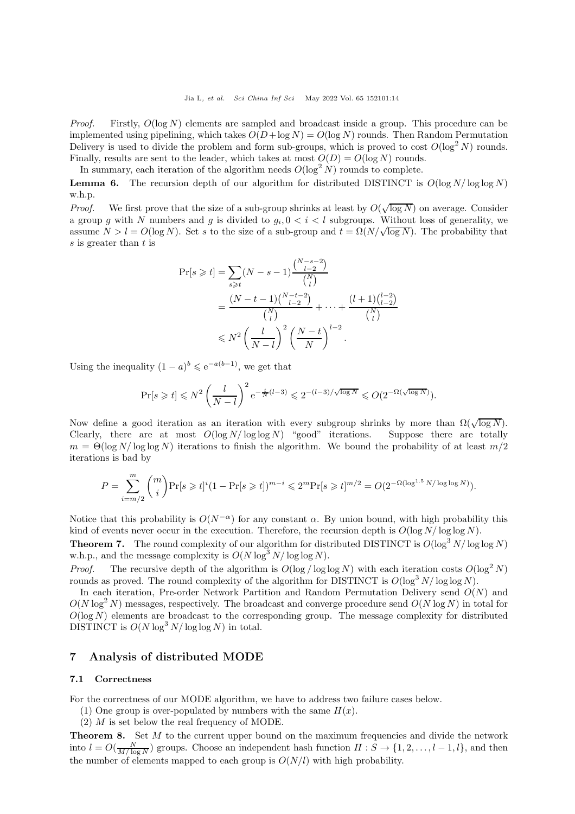*Proof.* Firstly,  $O(\log N)$  elements are sampled and broadcast inside a group. This procedure can be implemented using pipelining, which takes  $O(D + \log N) = O(\log N)$  rounds. Then Random Permutation Delivery is used to divide the problem and form sub-groups, which is proved to cost  $O(\log^2 N)$  rounds. Finally, results are sent to the leader, which takes at most  $O(D) = O(\log N)$  rounds.

In summary, each iteration of the algorithm needs  $O(\log^2 N)$  rounds to complete.

**Lemma 6.** The recursion depth of our algorithm for distributed DISTINCT is  $O(\log N/\log \log N)$ w.h.p.

*Proof.* We first prove that the size of a sub-group shrinks at least by  $O(\sqrt{\log N})$  on average. Consider a group g with N numbers and g is divided to  $g_i, 0 \lt i \lt l$  subgroups. Without loss of generality, we assume  $N > l = O(\log N)$ . Set s to the size of a sub-group and  $t = \Omega(N/\sqrt{\log N})$ . The probability that s is greater than t is

$$
\Pr[s \geq t] = \sum_{s \geq t} (N - s - 1) \frac{\binom{N - s - 2}{l - 2}}{\binom{N}{l}} \\
= \frac{(N - t - 1)\binom{N - t - 2}{l - 2}}{\binom{N}{l}} + \dots + \frac{(l + 1)\binom{l - 2}{l - 2}}{\binom{N}{l}} \\
\leq N^2 \left(\frac{l}{N - l}\right)^2 \left(\frac{N - t}{N}\right)^{l - 2}.
$$

Using the inequality  $(1 - a)^b \leq e^{-a(b-1)}$ , we get that

$$
\Pr[s \geq t] \leq N^2 \left( \frac{l}{N-l} \right)^2 e^{-\frac{t}{N}(l-3)} \leq 2^{-(l-3)/\sqrt{\log N}} \leq O(2^{-\Omega(\sqrt{\log N})}).
$$

Now define a good iteration as an iteration with every subgroup shrinks by more than  $\Omega(\sqrt{\log N})$ . Clearly, there are at most  $O(\log N/\log \log N)$  "good" iterations. Suppose there are totally  $m = \Theta(\log N/\log \log N)$  iterations to finish the algorithm. We bound the probability of at least  $m/2$ iterations is bad by

$$
P = \sum_{i=m/2}^{m} {m \choose i} \Pr[s \geq t]^i (1 - \Pr[s \geq t])^{m-i} \leq 2^m \Pr[s \geq t]^{m/2} = O(2^{-\Omega(\log^{1.5} N/\log \log N)}).
$$

Notice that this probability is  $O(N^{-\alpha})$  for any constant  $\alpha$ . By union bound, with high probability this kind of events never occur in the execution. Therefore, the recursion depth is  $O(\log N/\log \log N)$ .

**Theorem 7.** The round complexity of our algorithm for distributed DISTINCT is  $O(\log^3 N/\log \log N)$ w.h.p., and the message complexity is  $O(N \log^3 N / \log \log N)$ .

*Proof.* The recursive depth of the algorithm is  $O(\log/\log \log N)$  with each iteration costs  $O(\log^2 N)$ rounds as proved. The round complexity of the algorithm for DISTINCT is  $O(\log^3 N/\log \log N)$ .

In each iteration, Pre-order Network Partition and Random Permutation Delivery send  $O(N)$  and  $O(N \log^2 N)$  messages, respectively. The broadcast and converge procedure send  $O(N \log N)$  in total for  $O(\log N)$  elements are broadcast to the corresponding group. The message complexity for distributed DISTINCT is  $O(N \log^3 N / \log \log N)$  in total.

## <span id="page-13-0"></span>7 Analysis of distributed MODE

### 7.1 Correctness

For the correctness of our MODE algorithm, we have to address two failure cases below.

- (1) One group is over-populated by numbers with the same  $H(x)$ .
- (2) M is set below the real frequency of MODE.

**Theorem 8.** Set M to the current upper bound on the maximum frequencies and divide the network into  $l = O(\frac{N}{M/\log N})$  groups. Choose an independent hash function  $H : S \to \{1, 2, \ldots, l-1, l\}$ , and then the number of elements mapped to each group is  $O(N/l)$  with high probability.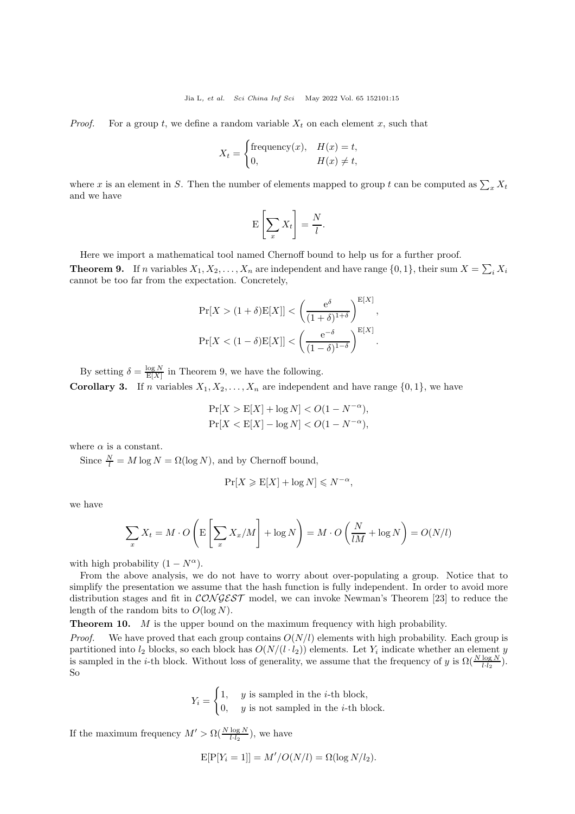*Proof.* For a group t, we define a random variable  $X_t$  on each element x, such that

$$
X_t = \begin{cases} \text{frequency}(x), & H(x) = t, \\ 0, & H(x) \neq t, \end{cases}
$$

where x is an element in S. Then the number of elements mapped to group t can be computed as  $\sum_{x} X_t$ and we have

$$
\mathbf{E}\left[\sum_{x} X_t\right] = \frac{N}{l}.
$$

Here we import a mathematical tool named Chernoff bound to help us for a further proof.

<span id="page-14-0"></span>**Theorem 9.** If n variables  $X_1, X_2, \ldots, X_n$  are independent and have range  $\{0, 1\}$ , their sum  $X = \sum_i X_i$ cannot be too far from the expectation. Concretely,

$$
\Pr[X > (1+\delta)\mathbb{E}[X]] < \left(\frac{e^{\delta}}{(1+\delta)^{1+\delta}}\right)^{\mathbb{E}[X]},
$$
  

$$
\Pr[X < (1-\delta)\mathbb{E}[X]] < \left(\frac{e^{-\delta}}{(1-\delta)^{1-\delta}}\right)^{\mathbb{E}[X]}.
$$

By setting  $\delta = \frac{\log N}{E[X]}$  in Theorem [9,](#page-14-0) we have the following.

**Corollary 3.** If n variables  $X_1, X_2, \ldots, X_n$  are independent and have range  $\{0, 1\}$ , we have

$$
\Pr[X > \mathcal{E}[X] + \log N] < O(1 - N^{-\alpha}),
$$
\n
$$
\Pr[X < \mathcal{E}[X] - \log N] < O(1 - N^{-\alpha}),
$$

where  $\alpha$  is a constant.

Since  $\frac{N}{l} = M \log N = \Omega(\log N)$ , and by Chernoff bound,

$$
\Pr[X \geqslant E[X] + \log N] \leqslant N^{-\alpha},
$$

we have

$$
\sum_{x} X_{t} = M \cdot O\left(\mathbb{E}\left[\sum_{x} X_{x}/M\right] + \log N\right) = M \cdot O\left(\frac{N}{lM} + \log N\right) = O(N/l)
$$

with high probability  $(1 - N^{\alpha})$ .

From the above analysis, we do not have to worry about over-populating a group. Notice that to simplify the presentation we assume that the hash function is fully independent. In order to avoid more distribution stages and fit in  $CONGEST$  model, we can invoke Newman's Theorem [\[23\]](#page-17-2) to reduce the length of the random bits to  $O(\log N)$ .

**Theorem 10.** M is the upper bound on the maximum frequency with high probability.

*Proof.* We have proved that each group contains  $O(N/l)$  elements with high probability. Each group is partitioned into  $l_2$  blocks, so each block has  $O(N/(l \cdot l_2))$  elements. Let  $Y_i$  indicate whether an element y is sampled in the *i*-th block. Without loss of generality, we assume that the frequency of y is  $\Omega(\frac{N \log N}{l \cdot l_2})$ . So

$$
Y_i = \begin{cases} 1, & y \text{ is sampled in the } i\text{-th block,} \\ 0, & y \text{ is not sampled in the } i\text{-th block.} \end{cases}
$$

If the maximum frequency  $M' > \Omega(\frac{N \log N}{l \cdot l_2})$ , we have

$$
E[P[Y_i = 1]] = M'/O(N/l) = \Omega(\log N/l_2).
$$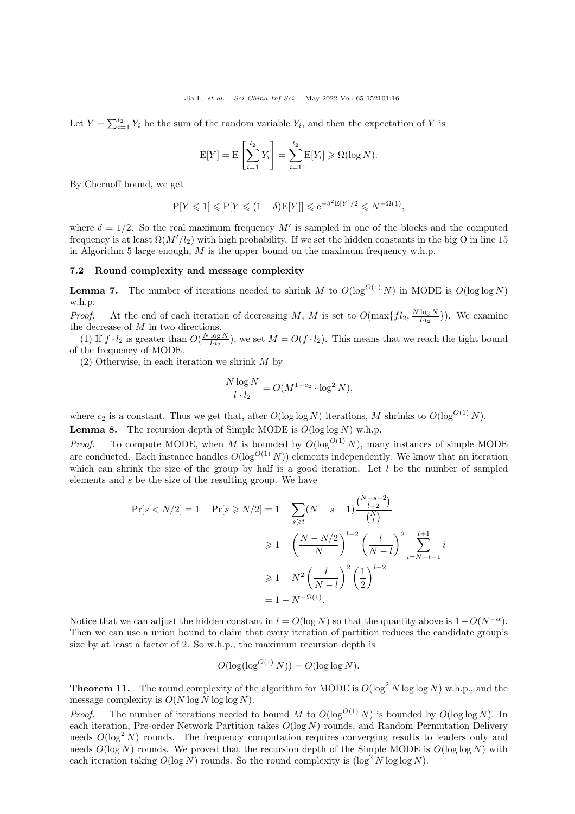Let  $Y = \sum_{i=1}^{l_2} Y_i$  be the sum of the random variable  $Y_i$ , and then the expectation of Y is

$$
E[Y] = E\left[\sum_{i=1}^{l_2} Y_i\right] = \sum_{i=1}^{l_2} E[Y_i] \geqslant \Omega(\log N).
$$

By Chernoff bound, we get

$$
P[Y \leq 1] \leq P[Y \leq (1 - \delta)E[Y]] \leq e^{-\delta^2 E[Y]/2} \leq N^{-\Omega(1)},
$$

where  $\delta = 1/2$ . So the real maximum frequency M' is sampled in one of the blocks and the computed frequency is at least  $\Omega(M'/l_2)$  with high probability. If we set the hidden constants in the big O in line [15](#page-10-2) in Algorithm 5 large enough,  $M$  is the upper bound on the maximum frequency w.h.p.

### 7.2 Round complexity and message complexity

**Lemma 7.** The number of iterations needed to shrink M to  $O(\log^{O(1)} N)$  in MODE is  $O(\log \log N)$ w.h.p.

*Proof.* At the end of each iteration of decreasing M, M is set to  $O(\max\{fl_2, \frac{N \log N}{l \cdot l_2}\})$ . We examine  $\frac{1}{2}$  the decrease of M in two directions.

(1) If  $f \cdot l_2$  is greater than  $O(\frac{N \log N}{l \cdot l_2})$ , we set  $M = O(f \cdot l_2)$ . This means that we reach the tight bound of the frequency of MODE.

(2) Otherwise, in each iteration we shrink M by

$$
\frac{N \log N}{l \cdot l_2} = O(M^{1-c_2} \cdot \log^2 N),
$$

where  $c_2$  is a constant. Thus we get that, after  $O(\log \log N)$  iterations, M shrinks to  $O(\log^{O(1)} N)$ . **Lemma 8.** The recursion depth of Simple MODE is  $O(\log \log N)$  w.h.p.

*Proof.* To compute MODE, when M is bounded by  $O(\log^{O(1)} N)$ , many instances of simple MODE are conducted. Each instance handles  $O(\log^{O(1)} N)$  elements independently. We know that an iteration which can shrink the size of the group by half is a good iteration. Let  $l$  be the number of sampled elements and s be the size of the resulting group. We have

$$
\Pr[s < N/2] = 1 - \Pr[s \ge N/2] = 1 - \sum_{s \ge t} (N - s - 1) \frac{\binom{N - s - 2}{l - 2}}{\binom{N}{l}} \\
\ge 1 - \left(\frac{N - N/2}{N}\right)^{l - 2} \left(\frac{l}{N - l}\right)^2 \sum_{i = N - t - 1}^{l + 1} i \\
\ge 1 - N^2 \left(\frac{l}{N - l}\right)^2 \left(\frac{1}{2}\right)^{l - 2} \\
= 1 - N^{-\Omega(1)}.
$$

Notice that we can adjust the hidden constant in  $l = O(\log N)$  so that the quantity above is  $1-O(N^{-\alpha})$ . Then we can use a union bound to claim that every iteration of partition reduces the candidate group's size by at least a factor of 2. So w.h.p., the maximum recursion depth is

$$
O(\log(\log^{O(1)} N)) = O(\log \log N).
$$

**Theorem 11.** The round complexity of the algorithm for MODE is  $O(\log^2 N \log \log N)$  w.h.p., and the message complexity is  $O(N \log N \log N)$ .

*Proof.* The number of iterations needed to bound M to  $O(\log^{O(1)} N)$  is bounded by  $O(\log \log N)$ . In each iteration, Pre-order Network Partition takes  $O(log N)$  rounds, and Random Permutation Delivery needs  $O(\log^2 N)$  rounds. The frequency computation requires converging results to leaders only and needs  $O(\log N)$  rounds. We proved that the recursion depth of the Simple MODE is  $O(\log \log N)$  with each iteration taking  $O(\log N)$  rounds. So the round complexity is  $(\log^2 N \log \log N)$ .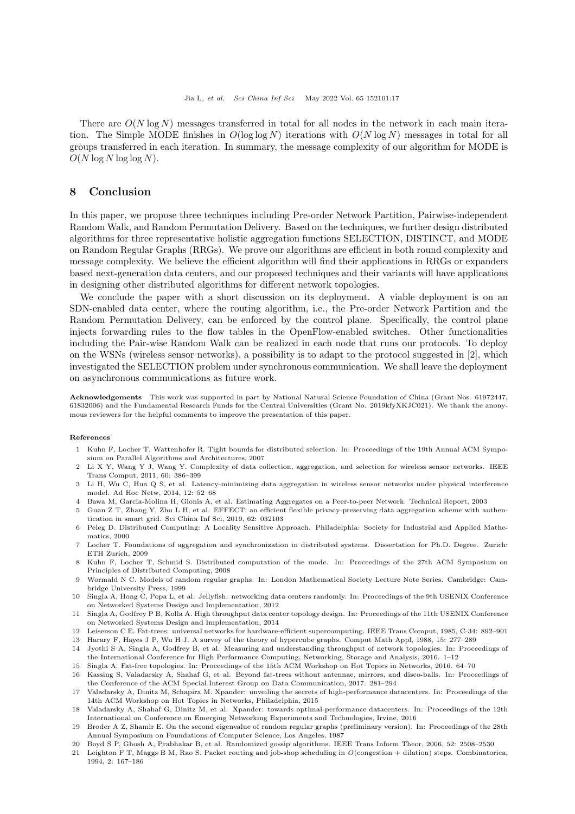There are  $O(N \log N)$  messages transferred in total for all nodes in the network in each main iteration. The Simple MODE finishes in  $O(\log \log N)$  iterations with  $O(N \log N)$  messages in total for all groups transferred in each iteration. In summary, the message complexity of our algorithm for MODE is  $O(N \log N \log \log N)$ .

## <span id="page-16-17"></span>8 Conclusion

In this paper, we propose three techniques including Pre-order Network Partition, Pairwise-independent Random Walk, and Random Permutation Delivery. Based on the techniques, we further design distributed algorithms for three representative holistic aggregation functions SELECTION, DISTINCT, and MODE on Random Regular Graphs (RRGs). We prove our algorithms are efficient in both round complexity and message complexity. We believe the efficient algorithm will find their applications in RRGs or expanders based next-generation data centers, and our proposed techniques and their variants will have applications in designing other distributed algorithms for different network topologies.

We conclude the paper with a short discussion on its deployment. A viable deployment is on an SDN-enabled data center, where the routing algorithm, i.e., the Pre-order Network Partition and the Random Permutation Delivery, can be enforced by the control plane. Specifically, the control plane injects forwarding rules to the flow tables in the OpenFlow-enabled switches. Other functionalities including the Pair-wise Random Walk can be realized in each node that runs our protocols. To deploy on the WSNs (wireless sensor networks), a possibility is to adapt to the protocol suggested in [\[2\]](#page-16-1), which investigated the SELECTION problem under synchronous communication. We shall leave the deployment on asynchronous communications as future work.

Acknowledgements This work was supported in part by National Natural Science Foundation of China (Grant Nos. 61972447, 61832006) and the Fundamental Research Funds for the Central Universities (Grant No. 2019kfyXKJC021). We thank the anonymous reviewers for the helpful comments to improve the presentation of this paper.

#### <span id="page-16-0"></span>References

- 1 Kuhn F, Locher T, Wattenhofer R. Tight bounds for distributed selection. In: Proceedings of the 19th Annual ACM Symposium on Parallel Algorithms and Architectures, 2007
- <span id="page-16-1"></span>2 Li X Y, Wang Y J, Wang Y. Complexity of data collection, aggregation, and selection for wireless sensor networks. IEEE Trans Comput, 2011, 60: 386–399
- <span id="page-16-2"></span>3 Li H, Wu C, Hua Q S, et al. Latency-minimizing data aggregation in wireless sensor networks under physical interference model. [Ad Hoc Netw,](https://doi.org/10.1016/j.adhoc.2011.12.004) 2014, 12: 52–68
- <span id="page-16-4"></span><span id="page-16-3"></span>4 Bawa M, Garcia-Molina H, Gionis A, et al. Estimating Aggregates on a Peer-to-peer Network. Technical Report, 2003
- 5 Guan Z T, Zhang Y, Zhu L H, et al. EFFECT: an efficient flexible privacy-preserving data aggregation scheme with authentication in smart grid. [Sci China Inf Sci,](https://doi.org/10.1007/s11432-018-9451-y) 2019, 62: 032103
- <span id="page-16-5"></span>6 Peleg D. Distributed Computing: A Locality Sensitive Approach. Philadelphia: Society for Industrial and Applied Mathematics, 2000
- <span id="page-16-6"></span>7 Locher T. Foundations of aggregation and synchronization in distributed systems. Dissertation for Ph.D. Degree. Zurich: ETH Zurich, 2009
- <span id="page-16-7"></span>8 Kuhn F, Locher T, Schmid S. Distributed computation of the mode. In: Proceedings of the 27th ACM Symposium on Principles of Distributed Computing, 2008
- <span id="page-16-8"></span>9 Wormald N C. Models of random regular graphs. In: London Mathematical Society Lecture Note Series. Cambridge: Cambridge University Press, 1999
- <span id="page-16-9"></span>10 Singla A, Hong C, Popa L, et al. Jellyfish: networking data centers randomly. In: Proceedings of the 9th USENIX Conference on Networked Systems Design and Implementation, 2012
- <span id="page-16-10"></span>11 Singla A, Godfrey P B, Kolla A. High throughput data center topology design. In: Proceedings of the 11th USENIX Conference on Networked Systems Design and Implementation, 2014
- <span id="page-16-12"></span><span id="page-16-11"></span>12 Leiserson C E. Fat-trees: universal networks for hardware-efficient supercomputing. [IEEE Trans Comput,](https://doi.org/10.1109/TC.1985.6312192) 1985, C-34: 892–901
- <span id="page-16-13"></span>13 Harary F, Hayes J P, Wu H J. A survey of the theory of hypercube graphs. [Comput Math Appl,](https://doi.org/10.1016/0898-1221(88)90213-1) 1988, 15: 277–289 14 Jyothi S A, Singla A, Godfrey B, et al. Measuring and understanding throughput of network topologies. In: Proceedings of
- the International Conference for High Performance Computing, Networking, Storage and Analysis, 2016. 1–12 15 Singla A. Fat-free topologies. In: Proceedings of the 15th ACM Workshop on Hot Topics in Networks, 2016. 64–70
- <span id="page-16-14"></span>16 Kassing S, Valadarsky A, Shahaf G, et al. Beyond fat-trees without antennae, mirrors, and disco-balls. In: Proceedings of
- <span id="page-16-15"></span>the Conference of the ACM Special Interest Group on Data Communication, 2017. 281–294 17 Valadarsky A, Dinitz M, Schapira M. Xpander: unveiling the secrets of high-performance datacenters. In: Proceedings of the
- 14th ACM Workshop on Hot Topics in Networks, Philadelphia, 2015
- <span id="page-16-16"></span>18 Valadarsky A, Shahaf G, Dinitz M, et al. Xpander: towards optimal-performance datacenters. In: Proceedings of the 12th International on Conference on Emerging Networking Experiments and Technologies, Irvine, 2016
- <span id="page-16-18"></span>19 Broder A Z, Shamir E. On the second eigenvalue of random regular graphs (preliminary version). In: Proceedings of the 28th Annual Symposium on Foundations of Computer Science, Los Angeles, 1987
- <span id="page-16-20"></span><span id="page-16-19"></span>20 Boyd S P, Ghosh A, Prabhakar B, et al. Randomized gossip algorithms. [IEEE Trans Inform Theor,](https://doi.org/10.1109/tit.2006.874516) 2006, 52: 2508–2530
- 21 Leighton F T, Maggs B M, Rao S. Packet routing and job-shop scheduling in O(congestion + dilation) steps. Combinatorica, 1994, 2: 167–186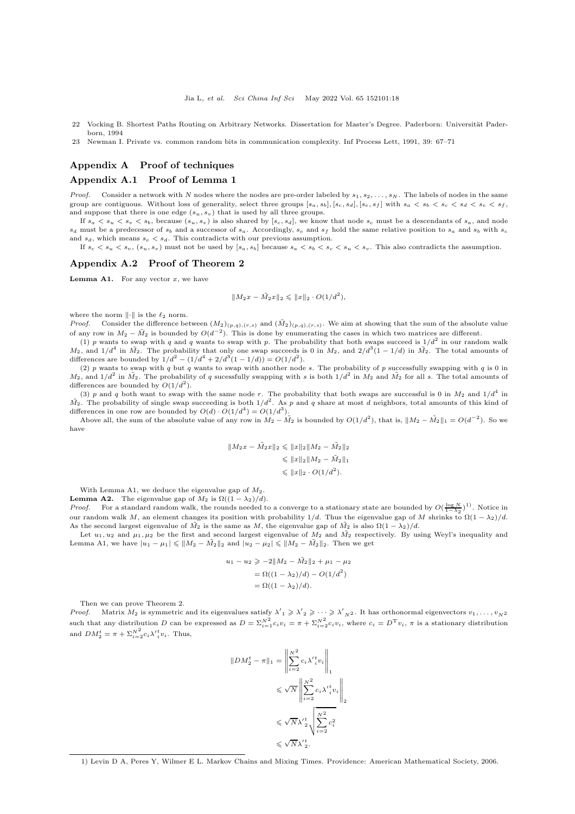- <span id="page-17-1"></span>22 Vocking B. Shortest Paths Routing on Arbitrary Networks. Dissertation for Master's Degree. Paderborn: Universität Paderborn, 1994
- <span id="page-17-2"></span>23 Newman I. Private vs. common random bits in communication complexity. [Inf Process Lett,](https://doi.org/10.1016/0020-0190(91)90157-D) 1991, 39: 67–71

### <span id="page-17-0"></span>Appendix A Proof of techniques

### Appendix A.1 Proof of Lemma [1](#page-4-0)

*Proof.* Consider a network with N nodes where the nodes are pre-order labeled by  $s_1, s_2, \ldots, s_N$ . The labels of nodes in the same group are contiguous. Without loss of generality, select three groups  $[s_a, s_b], [s_c, s_d], [s_e, s_f]$  with  $s_a < s_b < s_c < s_d < s_e < s_f$ , and suppose that there is one edge  $(s_u, s_v)$  that is used by all three groups.

If  $s_a < s_u < s_v < s_b$ , because  $(s_u, s_v)$  is also shared by  $[s_c, s_d]$ , we know that node  $s_c$  must be a descendants of  $s_a$ , and node  $s_d$  must be a predecessor of  $s_b$  and a successor of  $s_a$ . Accordingly,  $s_e$  and  $s_f$  hold the same relative position to  $s_a$  and  $s_b$  with  $s_c$ and  $s_d$ , which means  $s_e < s_d$ . This contradicts with our previous assumption.

If  $s_c < s_u < s_v$ ,  $(s_u, s_v)$  must not be used by  $[s_a, s_b]$  because  $s_a < s_b < s_c < s_u < s_v$ . This also contradicts the assumption.

### Appendix A.2 Proof of Theorem [2](#page-5-0)

**Lemma A1.** For any vector  $x$ , we have

$$
||M_2x - \tilde{M_2}x||_2 \le ||x||_2 \cdot O(1/d^2),
$$

where the norm  $\|\cdot\|$  is the  $\ell_2$  norm.

*Proof.* Consider the difference between  $(M_2)_{(p,q),(r,s)}$  and  $(\tilde{M}_2)_{(p,q),(r,s)}$ . We aim at showing that the sum of the absolute value of any row in  $M_2 - \tilde{M}_2$  is bounded by  $O(d^{-2})$ . This is done by enumerating the cases in which two matrices are different.

(1) p wants to swap with q and q wants to swap with p. The probability that both swaps succeed is  $1/d^2$  in our random walk  $M_2$ , and  $1/d^4$  in  $\tilde{M_2}$ . The probability that only one swap succeeds is 0 in  $M_2$ , and  $2/d^3(1-1/d)$  in  $\tilde{M_2}$ . The total amounts of differences are bounded by  $1/d^2 - (1/d^4 + 2/d^3(1 - 1/d)) = O(1/d^2)$ .

(2) p wants to swap with q but q wants to swap with another node s. The probability of p successfully swapping with q is 0 in  $M_2$ , and  $1/d^2$  in  $\tilde{M_2}$ . The probability of q sucessfully swapping with s is both  $1/d^2$  in  $M_2$  and  $\tilde{M_2}$  for all s. The total amounts of differences are bounded by  $O(1/d^2)$ .

(3) p and q both want to swap with the same node r. The probability that both swaps are successful is 0 in  $M_2$  and  $1/d^4$  in  $\tilde{M}_2$ . The probability of single swap succeeding is both  $1/d^2$ . As p and q share at most d neighbors, total amounts of this kind of differences in one row are bounded by  $O(d) \cdot O(1/d^4) = O(1/d^3)$ .

Above all, the sum of the absolute value of any row in  $M_2 - \tilde{M_2}$  is bounded by  $O(1/d^2)$ , that is,  $||M_2 - \tilde{M_2}||_1 = O(d^{-2})$ . So we have

$$
||M_2x - \tilde{M_2}x||_2 \le ||x||_2||M_2 - \tilde{M_2}||_2
$$
  
\n
$$
\le ||x||_2||M_2 - \tilde{M_2}||_1
$$
  
\n
$$
\le ||x||_2 \cdot O(1/d^2).
$$

With Lemma A1, we deduce the eigenvalue gap of  $M_2$ .

**Lemma A2.** The eigenvalue gap of  $M_2$  is  $\Omega((1 - \lambda_2)/d)$ .

*Proof.* For a standard random walk, the rounds needed to a converge to a stationary state are bounded by  $O(\frac{\log N}{1-\lambda_2})^1$ . Notice in our random walk M, an element changes its position with probability 1/d. Thus the eigenvalue gap of M shrinks to  $\Omega(1-\lambda_2)/d$ . As the second largest eigenvalue of  $\tilde{M}_2$  is the same as M, the eigenvalue gap of  $\tilde{M}_2$  is also  $\Omega(1-\lambda_2)/d$ .

Let  $u_1, u_2$  and  $\mu_1, \mu_2$  be the first and second largest eigenvalue of  $M_2$  and  $\tilde{M}_2$  respectively. By using Weyl's inequality and Lemma A1, we have  $|u_1 - \mu_1| \leq \|M_2 - \tilde{M_2}\|_2$  and  $|u_2 - \mu_2| \leq \|M_2 - \tilde{M_2}\|_2$ . Then we get

$$
u_1 - u_2 \ge -2||M_2 - \tilde{M}_2||_2 + \mu_1 - \mu_2
$$
  
=  $\Omega((1 - \lambda_2)/d) - O(1/d^2)$   
=  $\Omega((1 - \lambda_2)/d).$ 

Then we can prove Theorem [2.](#page-5-0)

*Proof.* Matrix  $M_2$  is symmetric and its eigenvalues satisfy  $\lambda'_1 \ge \lambda'_2 \ge \cdots \ge \lambda'_{N^2}$ . It has orthonormal eigenvectors  $v_1, \ldots, v_{N^2}$ <br>such that any distribution D can be expressed as  $D = \sum_{i=1}^{N^2} c_i v_i = \pi + \sum_{i=2}^{$ and  $DM_2^t = \pi + \sum_{i=2}^{N^2} c_i \lambda'_{i}^t v_i$ . Thus,

$$
||DM_2^t - \pi||_1 = \left\|\sum_{i=2}^{N^2} c_i \lambda'_{i}^t v_i\right\|_1
$$
  

$$
\leqslant \sqrt{N} \left\|\sum_{i=2}^{N^2} c_i \lambda'_{i}^t v_i\right\|_2
$$
  

$$
\leqslant \sqrt{N} \lambda'_{2}^t \sqrt{\sum_{i=2}^{N^2} c_i^2}
$$
  

$$
\leqslant \sqrt{N} \lambda'_{2}^t.
$$

<sup>1)</sup> Levin D A, Peres Y, Wilmer E L. Markov Chains and Mixing Times. Providence: American Mathematical Society, 2006.